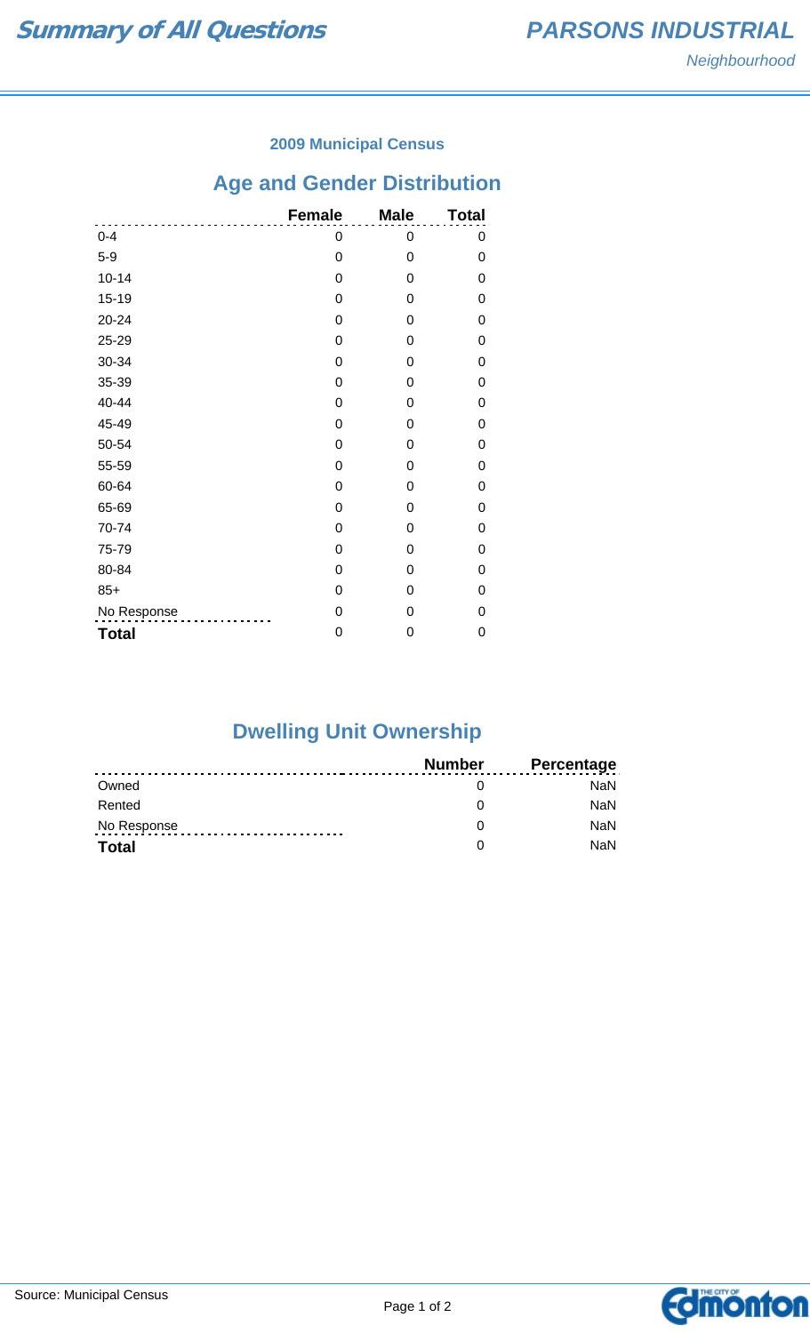# Neighbourhood

#### **2009 Municipal Census**

## **Age and Gender Distribution**

|              | <b>Female</b> | <b>Male</b> | <b>Total</b> |
|--------------|---------------|-------------|--------------|
| $0 - 4$      | 0             | 0           | 0            |
| $5-9$        | 0             | 0           | 0            |
| $10 - 14$    | 0             | 0           | 0            |
| $15 - 19$    | 0             | 0           | 0            |
| $20 - 24$    | 0             | 0           | 0            |
| 25-29        | 0             | 0           | 0            |
| 30-34        | 0             | 0           | 0            |
| 35-39        | 0             | 0           | 0            |
| 40-44        | 0             | 0           | 0            |
| 45-49        | 0             | 0           | 0            |
| 50-54        | 0             | 0           | 0            |
| 55-59        | 0             | 0           | 0            |
| 60-64        | 0             | 0           | 0            |
| 65-69        | 0             | 0           | 0            |
| 70-74        | 0             | 0           | 0            |
| 75-79        | 0             | 0           | 0            |
| 80-84        | 0             | 0           | 0            |
| $85+$        | 0             | 0           | 0            |
| No Response  | 0             | 0           | 0            |
| <b>Total</b> | 0             | 0           | 0            |

## **Dwelling Unit Ownership**

|              | Number | <b>Percentage</b> |
|--------------|--------|-------------------|
| Owned        |        | NaN               |
| Rented       |        | <b>NaN</b>        |
| No Response  |        | <b>NaN</b>        |
| <b>Total</b> |        | <b>NaN</b>        |